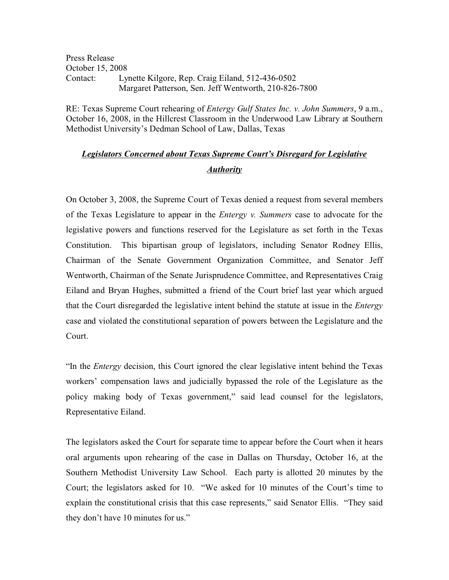Press Release October 15, 2008 Contact: Lynette Kilgore, Rep. Craig Eiland, 512-436-0502 Margaret Patterson, Sen. Jeff Wentworth, 210-826-7800

RE: Texas Supreme Court rehearing of *Entergy Gulf States Inc. v. John Summers*, 9 a.m., October 16, 2008, in the Hillcrest Classroom in the Underwood Law Library at Southern Methodist University's Dedman School of Law, Dallas, Texas

# *Legislators Concerned about Texas Supreme Court's Disregard for Legislative Authority*

On October 3, 2008, the Supreme Court of Texas denied a request from several members of the Texas Legislature to appear in the *Entergy v. Summers* case to advocate for the legislative powers and functions reserved for the Legislature as set forth in the Texas Constitution. This bipartisan group of legislators, including Senator Rodney Ellis, Chairman of the Senate Government Organization Committee, and Senator Jeff Wentworth, Chairman of the Senate Jurisprudence Committee, and Representatives Craig Eiland and Bryan Hughes, submitted a friend of the Court brief last year which argued that the Court disregarded the legislative intent behind the statute at issue in the *Entergy* case and violated the constitutional separation of powers between the Legislature and the Court.

"In the *Entergy* decision, this Court ignored the clear legislative intent behind the Texas workers' compensation laws and judicially bypassed the role of the Legislature as the policy making body of Texas government," said lead counsel for the legislators, Representative Eiland.

The legislators asked the Court for separate time to appear before the Court when it hears oral arguments upon rehearing of the case in Dallas on Thursday, October 16, at the Southern Methodist University Law School. Each party is allotted 20 minutes by the Court; the legislators asked for 10. "We asked for 10 minutes of the Court's time to explain the constitutional crisis that this case represents," said Senator Ellis. "They said they don't have 10 minutes for us."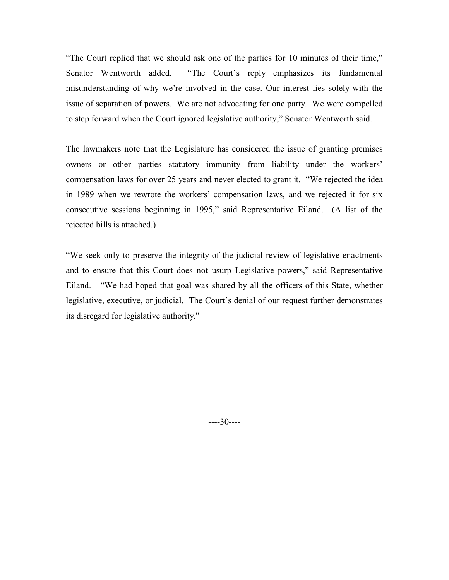"The Court replied that we should ask one of the parties for 10 minutes of their time," Senator Wentworth added. "The Court's reply emphasizes its fundamental misunderstanding of why we're involved in the case. Our interest lies solely with the issue of separation of powers. We are not advocating for one party. We were compelled to step forward when the Court ignored legislative authority," Senator Wentworth said.

The lawmakers note that the Legislature has considered the issue of granting premises owners or other parties statutory immunity from liability under the workers' compensation laws for over 25 years and never elected to grant it. "We rejected the idea in 1989 when we rewrote the workers' compensation laws, and we rejected it for six consecutive sessions beginning in 1995," said Representative Eiland. (A list of the rejected bills is attached.)

"We seek only to preserve the integrity of the judicial review of legislative enactments and to ensure that this Court does not usurp Legislative powers," said Representative Eiland. "We had hoped that goal was shared by all the officers of this State, whether legislative, executive, or judicial. The Court's denial of our request further demonstrates its disregard for legislative authority."

----30----